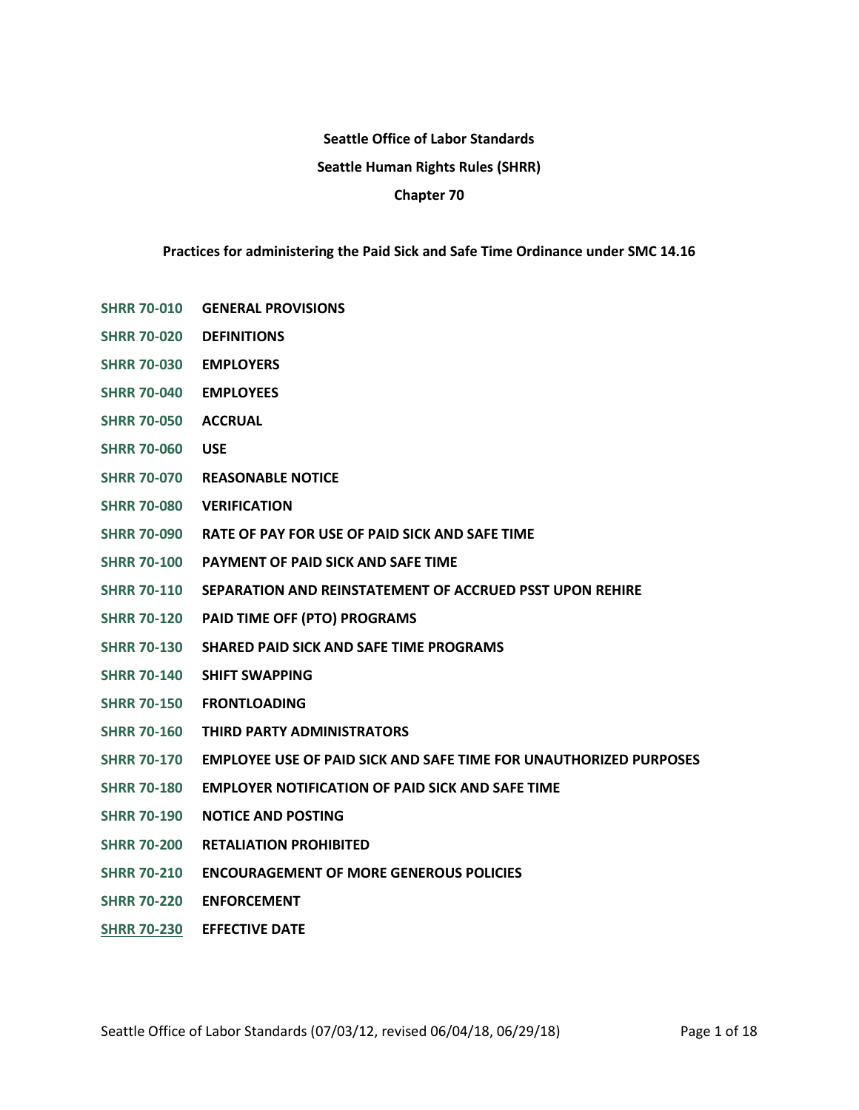# **Seattle Office of Labor Standards Seattle Human Rights Rules (SHRR) Chapter 70**

# **Practices for administering the Paid Sick and Safe Time Ordinance under SMC 14.16**

- **[SHRR 70-010](#page-1-0) GENERAL PROVISIONS**
- **[SHRR 70-020](#page-1-1) DEFINITIONS**
- **[SHRR 70-030](#page-3-0) EMPLOYERS**
- **[SHRR 70-040](#page-4-0) EMPLOYEES**
- **[SHRR 70-050](#page-5-0) ACCRUAL**
- **[SHRR 70-060](#page-6-0) USE**
- **[SHRR 70-070](#page-7-0) REASONABLE NOTICE**
- **[SHRR 70-080](#page-8-0) VERIFICATION**
- **[SHRR 70-090](#page-10-0) RATE OF PAY FOR USE OF PAID SICK AND SAFE TIME**
- **[SHRR 70-100](#page-11-0) PAYMENT OF PAID SICK AND SAFE TIME**
- **[SHRR 70-110](#page-11-1) SEPARATION AND REINSTATEMENT OF ACCRUED PSST UPON REHIRE**
- **[SHRR 70-120](#page-13-0) PAID TIME OFF (PTO) PROGRAMS**
- **[SHRR 70-130](#page-13-1) SHARED PAID SICK AND SAFE TIME PROGRAMS**
- **[SHRR 70-140](#page-13-2) SHIFT SWAPPING**
- **[SHRR 70-150](#page-14-0) FRONTLOADING**
- **[SHRR 70-160](#page-15-0) THIRD PARTY ADMINISTRATORS**
- **[SHRR 70-170](#page-15-1) EMPLOYEE USE OF PAID SICK AND SAFE TIME FOR UNAUTHORIZED PURPOSES**
- **[SHRR 70-180](#page-15-2) EMPLOYER NOTIFICATION OF PAID SICK AND SAFE TIME**
- **[SHRR 70-190](#page-16-0) NOTICE AND POSTING**
- **[SHRR 70-200](#page-17-0) RETALIATION PROHIBITED**
- **[SHRR 70-210](#page-17-1) ENCOURAGEMENT OF MORE GENEROUS POLICIES**
- **[SHRR 70-220](#page-17-2) ENFORCEMENT**
- **[SHRR 70-230](#page-17-3) EFFECTIVE DATE**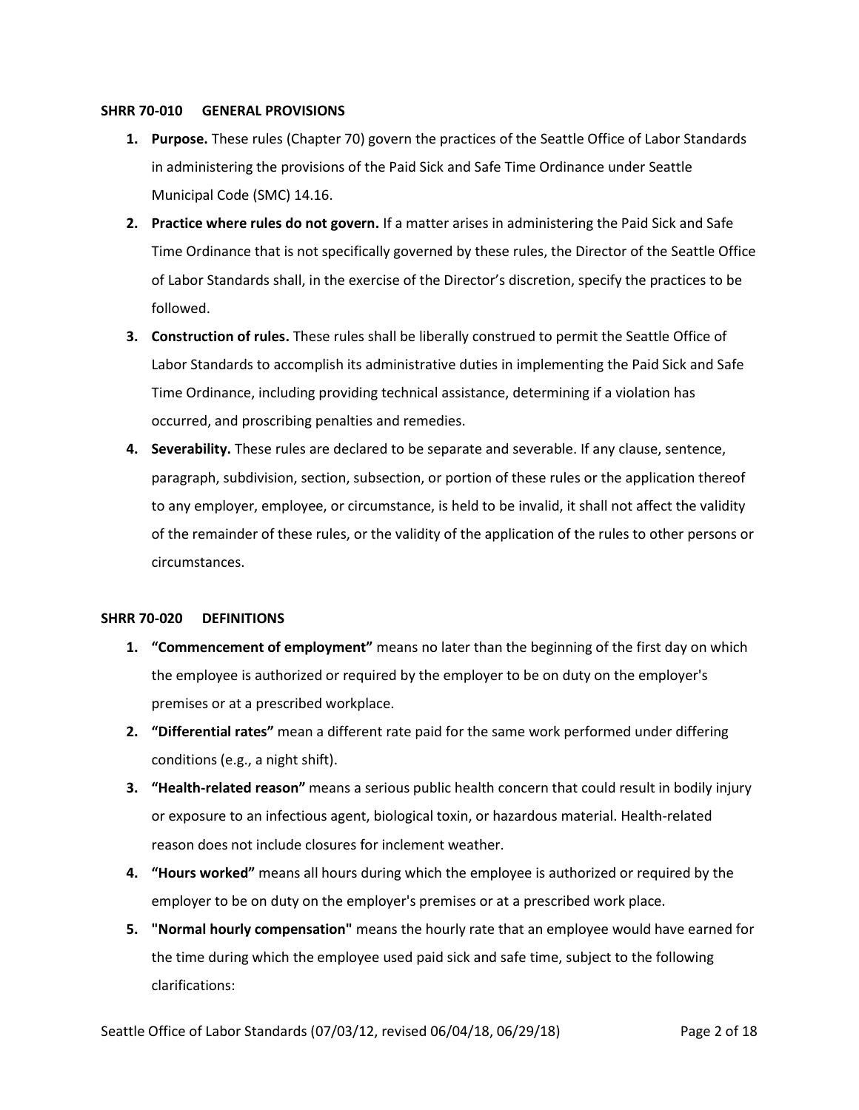#### <span id="page-1-0"></span>**SHRR 70-010 GENERAL PROVISIONS**

- **1. Purpose.** These rules (Chapter 70) govern the practices of the Seattle Office of Labor Standards in administering the provisions of the Paid Sick and Safe Time Ordinance under Seattle Municipal Code (SMC) 14.16.
- **2. Practice where rules do not govern.** If a matter arises in administering the Paid Sick and Safe Time Ordinance that is not specifically governed by these rules, the Director of the Seattle Office of Labor Standards shall, in the exercise of the Director's discretion, specify the practices to be followed.
- **3. Construction of rules.** These rules shall be liberally construed to permit the Seattle Office of Labor Standards to accomplish its administrative duties in implementing the Paid Sick and Safe Time Ordinance, including providing technical assistance, determining if a violation has occurred, and proscribing penalties and remedies.
- **4. Severability.** These rules are declared to be separate and severable. If any clause, sentence, paragraph, subdivision, section, subsection, or portion of these rules or the application thereof to any employer, employee, or circumstance, is held to be invalid, it shall not affect the validity of the remainder of these rules, or the validity of the application of the rules to other persons or circumstances.

## <span id="page-1-1"></span>**SHRR 70-020 DEFINITIONS**

- **1. "Commencement of employment"** means no later than the beginning of the first day on which the employee is authorized or required by the employer to be on duty on the employer's premises or at a prescribed workplace.
- **2. "Differential rates"** mean a different rate paid for the same work performed under differing conditions (e.g., a night shift).
- **3. "Health-related reason"** means a serious public health concern that could result in bodily injury or exposure to an infectious agent, biological toxin, or hazardous material. Health-related reason does not include closures for inclement weather.
- **4. "Hours worked"** means all hours during which the employee is authorized or required by the employer to be on duty on the employer's premises or at a prescribed work place.
- **5. "Normal hourly compensation"** means the hourly rate that an employee would have earned for the time during which the employee used paid sick and safe time, subject to the following clarifications: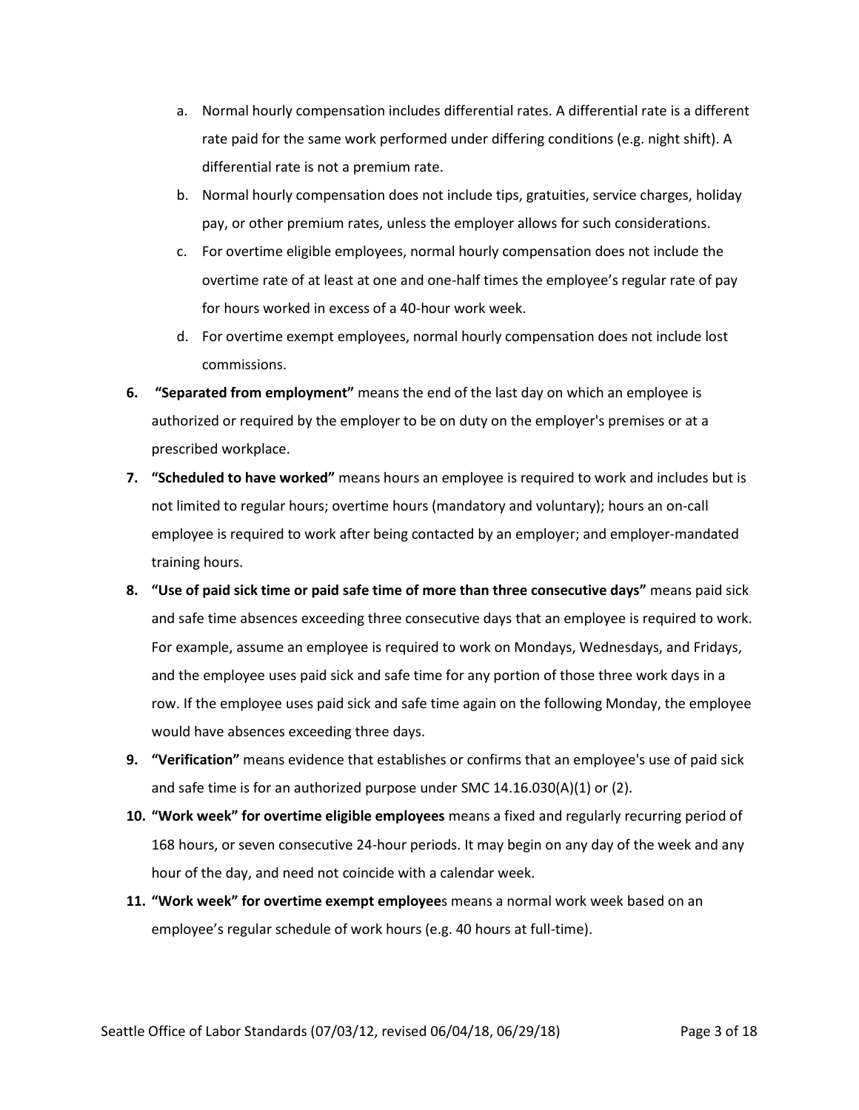- a. Normal hourly compensation includes differential rates. A differential rate is a different rate paid for the same work performed under differing conditions (e.g. night shift). A differential rate is not a premium rate.
- b. Normal hourly compensation does not include tips, gratuities, service charges, holiday pay, or other premium rates, unless the employer allows for such considerations.
- c. For overtime eligible employees, normal hourly compensation does not include the overtime rate of at least at one and one-half times the employee's regular rate of pay for hours worked in excess of a 40-hour work week.
- d. For overtime exempt employees, normal hourly compensation does not include lost commissions.
- **6. "Separated from employment"** means the end of the last day on which an employee is authorized or required by the employer to be on duty on the employer's premises or at a prescribed workplace.
- **7. "Scheduled to have worked"** means hours an employee is required to work and includes but is not limited to regular hours; overtime hours (mandatory and voluntary); hours an on-call employee is required to work after being contacted by an employer; and employer-mandated training hours.
- **8. "Use of paid sick time or paid safe time of more than three consecutive days"** means paid sick and safe time absences exceeding three consecutive days that an employee is required to work. For example, assume an employee is required to work on Mondays, Wednesdays, and Fridays, and the employee uses paid sick and safe time for any portion of those three work days in a row. If the employee uses paid sick and safe time again on the following Monday, the employee would have absences exceeding three days.
- **9. "Verification"** means evidence that establishes or confirms that an employee's use of paid sick and safe time is for an authorized purpose under SMC 14.16.030(A)(1) or (2).
- **10. "Work week" for overtime eligible employees** means a fixed and regularly recurring period of 168 hours, or seven consecutive 24-hour periods. It may begin on any day of the week and any hour of the day, and need not coincide with a calendar week.
- **11. "Work week" for overtime exempt employee**s means a normal work week based on an employee's regular schedule of work hours (e.g. 40 hours at full-time).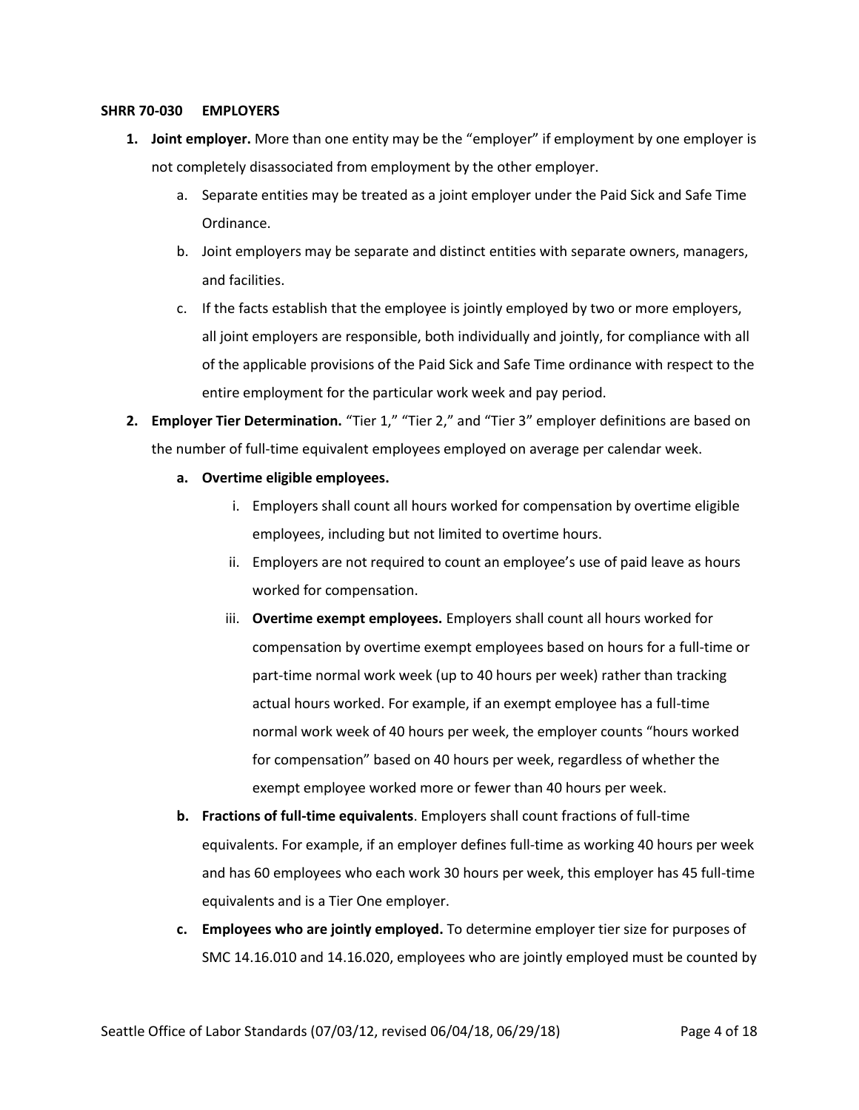#### <span id="page-3-0"></span>**SHRR 70-030 EMPLOYERS**

- **1. Joint employer.** More than one entity may be the "employer" if employment by one employer is not completely disassociated from employment by the other employer.
	- a. Separate entities may be treated as a joint employer under the Paid Sick and Safe Time Ordinance.
	- b. Joint employers may be separate and distinct entities with separate owners, managers, and facilities.
	- c. If the facts establish that the employee is jointly employed by two or more employers, all joint employers are responsible, both individually and jointly, for compliance with all of the applicable provisions of the Paid Sick and Safe Time ordinance with respect to the entire employment for the particular work week and pay period.
- **2. Employer Tier Determination.** "Tier 1," "Tier 2," and "Tier 3" employer definitions are based on the number of full-time equivalent employees employed on average per calendar week.
	- **a. Overtime eligible employees.**
		- i. Employers shall count all hours worked for compensation by overtime eligible employees, including but not limited to overtime hours.
		- ii. Employers are not required to count an employee's use of paid leave as hours worked for compensation.
		- iii. **Overtime exempt employees.** Employers shall count all hours worked for compensation by overtime exempt employees based on hours for a full-time or part-time normal work week (up to 40 hours per week) rather than tracking actual hours worked. For example, if an exempt employee has a full-time normal work week of 40 hours per week, the employer counts "hours worked for compensation" based on 40 hours per week, regardless of whether the exempt employee worked more or fewer than 40 hours per week.
	- **b. Fractions of full-time equivalents**. Employers shall count fractions of full-time equivalents. For example, if an employer defines full-time as working 40 hours per week and has 60 employees who each work 30 hours per week, this employer has 45 full-time equivalents and is a Tier One employer.
	- **c. Employees who are jointly employed.** To determine employer tier size for purposes of SMC 14.16.010 and 14.16.020, employees who are jointly employed must be counted by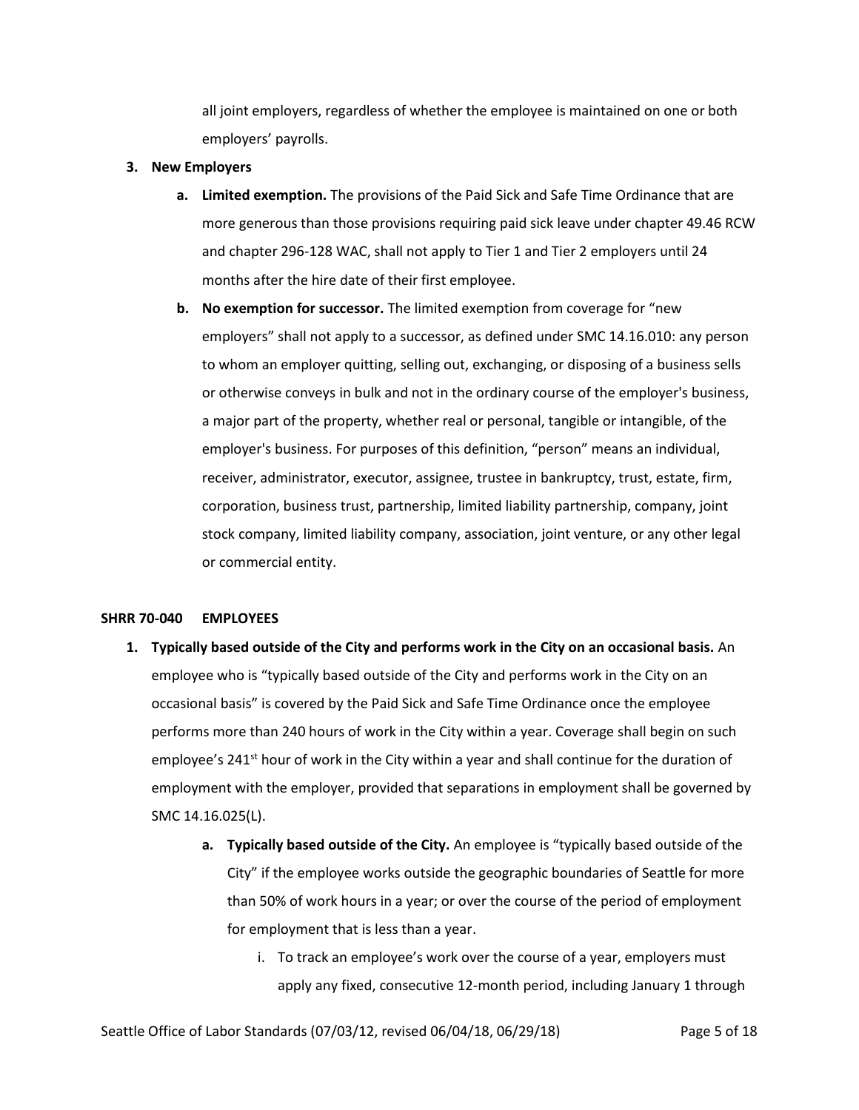all joint employers, regardless of whether the employee is maintained on one or both employers' payrolls.

#### **3. New Employers**

- **a. Limited exemption.** The provisions of the Paid Sick and Safe Time Ordinance that are more generous than those provisions requiring paid sick leave under chapter 49.46 RCW and chapter 296-128 WAC, shall not apply to Tier 1 and Tier 2 employers until 24 months after the hire date of their first employee.
- **b. No exemption for successor.** The limited exemption from coverage for "new employers" shall not apply to a successor, as defined under SMC 14.16.010: any person to whom an employer quitting, selling out, exchanging, or disposing of a business sells or otherwise conveys in bulk and not in the ordinary course of the employer's business, a major part of the property, whether real or personal, tangible or intangible, of the employer's business. For purposes of this definition, "person" means an individual, receiver, administrator, executor, assignee, trustee in bankruptcy, trust, estate, firm, corporation, business trust, partnership, limited liability partnership, company, joint stock company, limited liability company, association, joint venture, or any other legal or commercial entity.

## <span id="page-4-0"></span>**SHRR 70-040 EMPLOYEES**

- **1. Typically based outside of the City and performs work in the City on an occasional basis.** An employee who is "typically based outside of the City and performs work in the City on an occasional basis" is covered by the Paid Sick and Safe Time Ordinance once the employee performs more than 240 hours of work in the City within a year. Coverage shall begin on such employee's 241<sup>st</sup> hour of work in the City within a year and shall continue for the duration of employment with the employer, provided that separations in employment shall be governed by SMC 14.16.025(L).
	- **a. Typically based outside of the City.** An employee is "typically based outside of the City" if the employee works outside the geographic boundaries of Seattle for more than 50% of work hours in a year; or over the course of the period of employment for employment that is less than a year.
		- i. To track an employee's work over the course of a year, employers must apply any fixed, consecutive 12-month period, including January 1 through

Seattle Office of Labor Standards (07/03/12, revised 06/04/18, 06/29/18) Page 5 of 18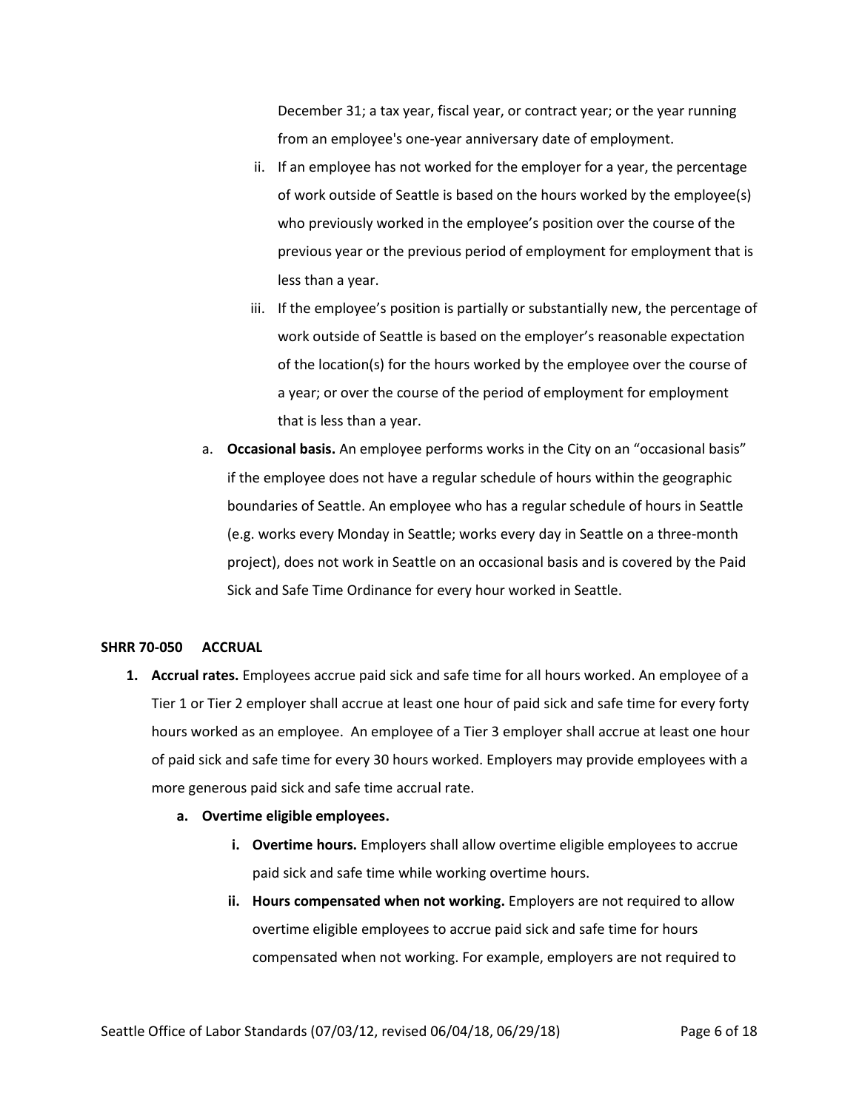December 31; a tax year, fiscal year, or contract year; or the year running from an employee's one-year anniversary date of employment.

- ii. If an employee has not worked for the employer for a year, the percentage of work outside of Seattle is based on the hours worked by the employee(s) who previously worked in the employee's position over the course of the previous year or the previous period of employment for employment that is less than a year.
- iii. If the employee's position is partially or substantially new, the percentage of work outside of Seattle is based on the employer's reasonable expectation of the location(s) for the hours worked by the employee over the course of a year; or over the course of the period of employment for employment that is less than a year.
- a. **Occasional basis.** An employee performs works in the City on an "occasional basis" if the employee does not have a regular schedule of hours within the geographic boundaries of Seattle. An employee who has a regular schedule of hours in Seattle (e.g. works every Monday in Seattle; works every day in Seattle on a three-month project), does not work in Seattle on an occasional basis and is covered by the Paid Sick and Safe Time Ordinance for every hour worked in Seattle.

#### <span id="page-5-0"></span>**SHRR 70-050 ACCRUAL**

- **1. Accrual rates.** Employees accrue paid sick and safe time for all hours worked. An employee of a Tier 1 or Tier 2 employer shall accrue at least one hour of paid sick and safe time for every forty hours worked as an employee. An employee of a Tier 3 employer shall accrue at least one hour of paid sick and safe time for every 30 hours worked. Employers may provide employees with a more generous paid sick and safe time accrual rate.
	- **a. Overtime eligible employees.**
		- **i. Overtime hours.** Employers shall allow overtime eligible employees to accrue paid sick and safe time while working overtime hours.
		- **ii. Hours compensated when not working.** Employers are not required to allow overtime eligible employees to accrue paid sick and safe time for hours compensated when not working. For example, employers are not required to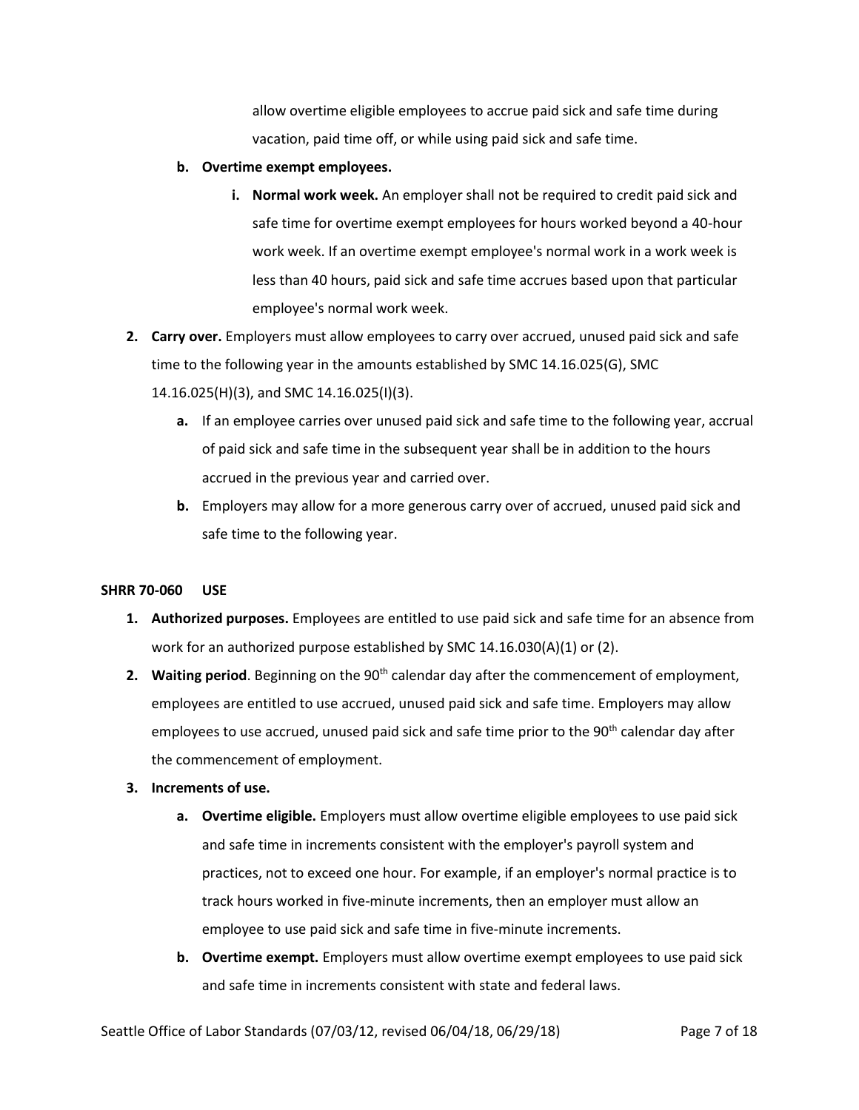allow overtime eligible employees to accrue paid sick and safe time during vacation, paid time off, or while using paid sick and safe time.

- **b. Overtime exempt employees.**
	- **i. Normal work week.** An employer shall not be required to credit paid sick and safe time for overtime exempt employees for hours worked beyond a 40-hour work week. If an overtime exempt employee's normal work in a work week is less than 40 hours, paid sick and safe time accrues based upon that particular employee's normal work week.
- **2. Carry over.** Employers must allow employees to carry over accrued, unused paid sick and safe time to the following year in the amounts established by SMC 14.16.025(G), SMC 14.16.025(H)(3), and SMC 14.16.025(I)(3).
	- **a.** If an employee carries over unused paid sick and safe time to the following year, accrual of paid sick and safe time in the subsequent year shall be in addition to the hours accrued in the previous year and carried over.
	- **b.** Employers may allow for a more generous carry over of accrued, unused paid sick and safe time to the following year.

## <span id="page-6-0"></span>**SHRR 70-060 USE**

- **1. Authorized purposes.** Employees are entitled to use paid sick and safe time for an absence from work for an authorized purpose established by SMC 14.16.030(A)(1) or (2).
- 2. Waiting period. Beginning on the 90<sup>th</sup> calendar day after the commencement of employment, employees are entitled to use accrued, unused paid sick and safe time. Employers may allow employees to use accrued, unused paid sick and safe time prior to the 90<sup>th</sup> calendar day after the commencement of employment.

# **3. Increments of use.**

- **a. Overtime eligible.** Employers must allow overtime eligible employees to use paid sick and safe time in increments consistent with the employer's payroll system and practices, not to exceed one hour. For example, if an employer's normal practice is to track hours worked in five-minute increments, then an employer must allow an employee to use paid sick and safe time in five-minute increments.
- **b. Overtime exempt.** Employers must allow overtime exempt employees to use paid sick and safe time in increments consistent with state and federal laws.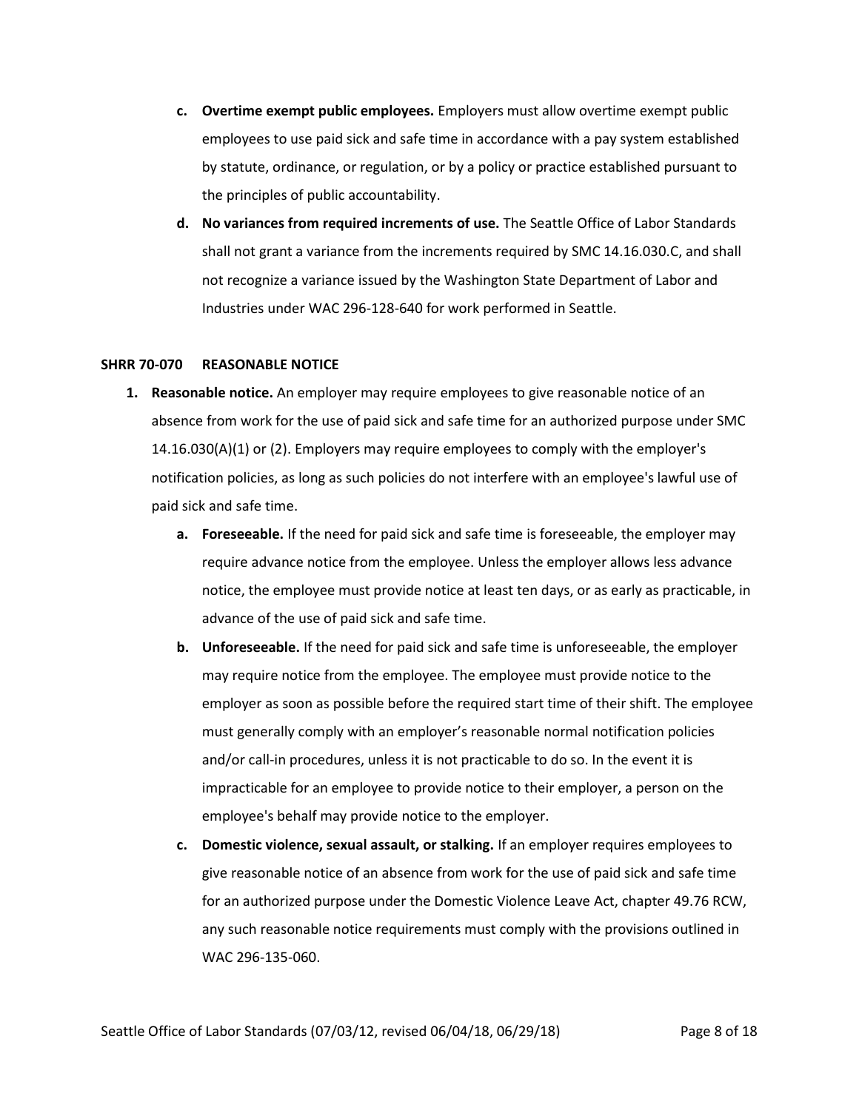- **c. Overtime exempt public employees.** Employers must allow overtime exempt public employees to use paid sick and safe time in accordance with a pay system established by statute, ordinance, or regulation, or by a policy or practice established pursuant to the principles of public accountability.
- **d. No variances from required increments of use.** The Seattle Office of Labor Standards shall not grant a variance from the increments required by SMC 14.16.030.C, and shall not recognize a variance issued by the Washington State Department of Labor and Industries under WAC 296-128-640 for work performed in Seattle.

## <span id="page-7-0"></span>**SHRR 70-070 REASONABLE NOTICE**

- **1. Reasonable notice.** An employer may require employees to give reasonable notice of an absence from work for the use of paid sick and safe time for an authorized purpose under SMC 14.16.030(A)(1) or (2). Employers may require employees to comply with the employer's notification policies, as long as such policies do not interfere with an employee's lawful use of paid sick and safe time.
	- **a. Foreseeable.** If the need for paid sick and safe time is foreseeable, the employer may require advance notice from the employee. Unless the employer allows less advance notice, the employee must provide notice at least ten days, or as early as practicable, in advance of the use of paid sick and safe time.
	- **b. Unforeseeable.** If the need for paid sick and safe time is unforeseeable, the employer may require notice from the employee. The employee must provide notice to the employer as soon as possible before the required start time of their shift. The employee must generally comply with an employer's reasonable normal notification policies and/or call-in procedures, unless it is not practicable to do so. In the event it is impracticable for an employee to provide notice to their employer, a person on the employee's behalf may provide notice to the employer.
	- **c. Domestic violence, sexual assault, or stalking.** If an employer requires employees to give reasonable notice of an absence from work for the use of paid sick and safe time for an authorized purpose under the Domestic Violence Leave Act, chapter [49.76](http://app.leg.wa.gov/RCW/default.aspx?cite=49.76) RCW, any such reasonable notice requirements must comply with the provisions outlined in WA[C 296-135-060.](https://app.leg.wa.gov/wac/default.aspx?cite=296-135-060)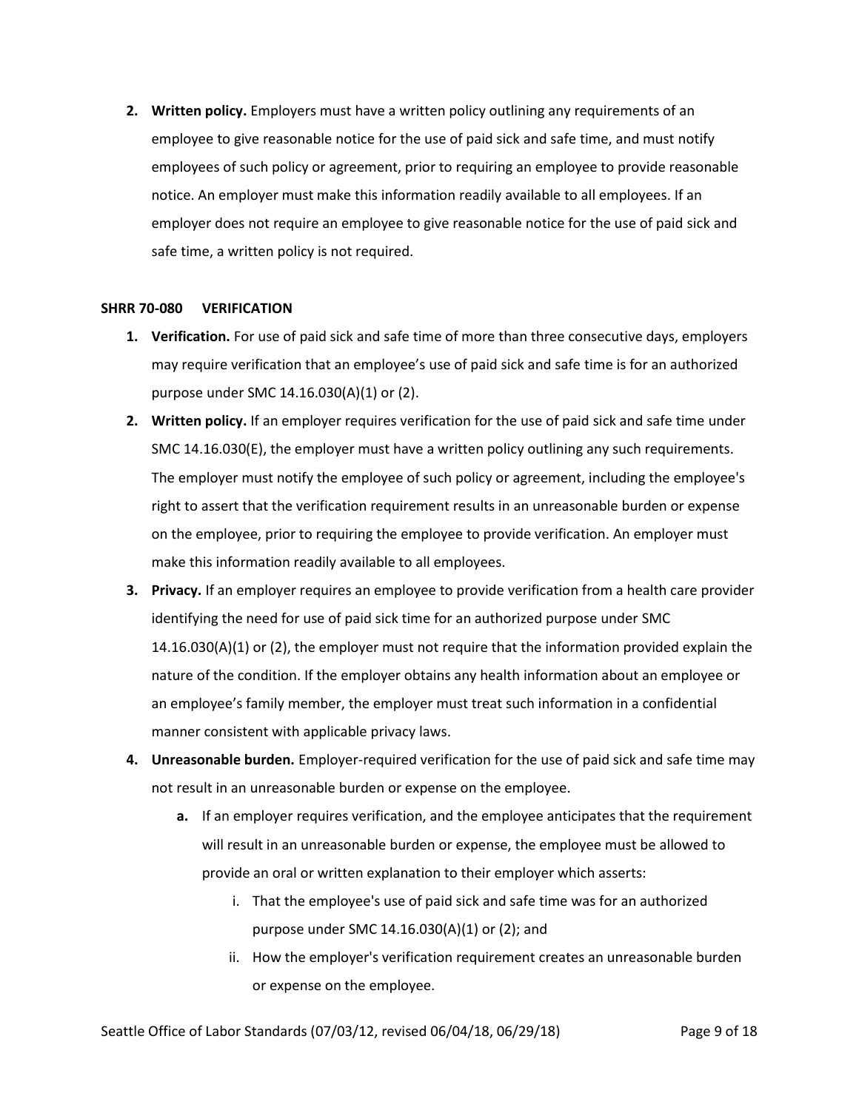**2. Written policy.** Employers must have a written policy outlining any requirements of an employee to give reasonable notice for the use of paid sick and safe time, and must notify employees of such policy or agreement, prior to requiring an employee to provide reasonable notice. An employer must make this information readily available to all employees. If an employer does not require an employee to give reasonable notice for the use of paid sick and safe time, a written policy is not required.

## <span id="page-8-0"></span>**SHRR 70-080 VERIFICATION**

- **1. Verification.** For use of paid sick and safe time of more than three consecutive days, employers may require verification that an employee's use of paid sick and safe time is for an authorized purpose under SMC 14.16.030(A)(1) or (2).
- **2. Written policy.** If an employer requires verification for the use of paid sick and safe time under SMC 14.16.030(E), the employer must have a written policy outlining any such requirements. The employer must notify the employee of such policy or agreement, including the employee's right to assert that the verification requirement results in an unreasonable burden or expense on the employee, prior to requiring the employee to provide verification. An employer must make this information readily available to all employees.
- **3. Privacy.** If an employer requires an employee to provide verification from a health care provider identifying the need for use of paid sick time for an authorized purpose under SMC 14.16.030(A)(1) or (2), the employer must not require that the information provided explain the nature of the condition. If the employer obtains any health information about an employee or an employee's family member, the employer must treat such information in a confidential manner consistent with applicable privacy laws.
- **4. Unreasonable burden.** Employer-required verification for the use of paid sick and safe time may not result in an unreasonable burden or expense on the employee.
	- **a.** If an employer requires verification, and the employee anticipates that the requirement will result in an unreasonable burden or expense, the employee must be allowed to provide an oral or written explanation to their employer which asserts:
		- i. That the employee's use of paid sick and safe time was for an authorized purpose under SMC 14.16.030(A)(1) or (2); and
		- ii. How the employer's verification requirement creates an unreasonable burden or expense on the employee.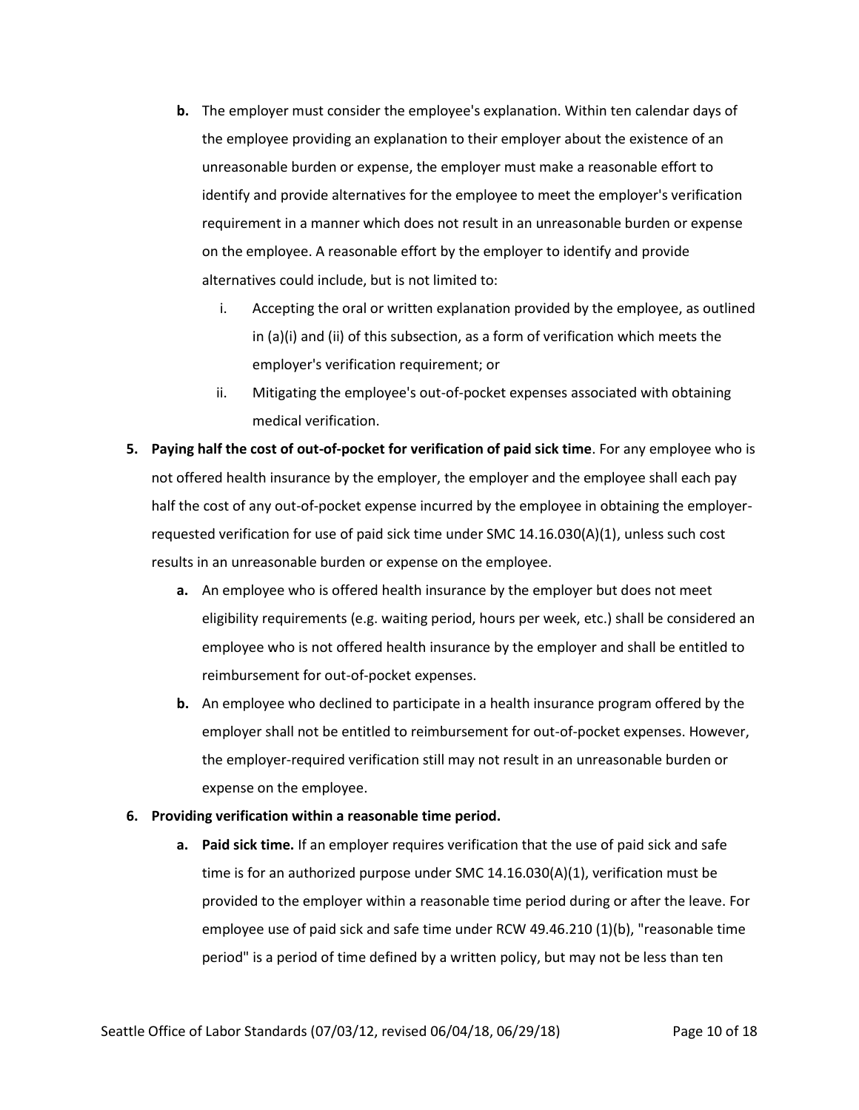- **b.** The employer must consider the employee's explanation. Within ten calendar days of the employee providing an explanation to their employer about the existence of an unreasonable burden or expense, the employer must make a reasonable effort to identify and provide alternatives for the employee to meet the employer's verification requirement in a manner which does not result in an unreasonable burden or expense on the employee. A reasonable effort by the employer to identify and provide alternatives could include, but is not limited to:
	- i. Accepting the oral or written explanation provided by the employee, as outlined in (a)(i) and (ii) of this subsection, as a form of verification which meets the employer's verification requirement; or
	- ii. Mitigating the employee's out-of-pocket expenses associated with obtaining medical verification.
- **5. Paying half the cost of out-of-pocket for verification of paid sick time**. For any employee who is not offered health insurance by the employer, the employer and the employee shall each pay half the cost of any out-of-pocket expense incurred by the employee in obtaining the employerrequested verification for use of paid sick time under SMC 14.16.030(A)(1), unless such cost results in an unreasonable burden or expense on the employee.
	- **a.** An employee who is offered health insurance by the employer but does not meet eligibility requirements (e.g. waiting period, hours per week, etc.) shall be considered an employee who is not offered health insurance by the employer and shall be entitled to reimbursement for out-of-pocket expenses.
	- **b.** An employee who declined to participate in a health insurance program offered by the employer shall not be entitled to reimbursement for out-of-pocket expenses. However, the employer-required verification still may not result in an unreasonable burden or expense on the employee.

# **6. Providing verification within a reasonable time period.**

**a. Paid sick time.** If an employer requires verification that the use of paid sick and safe time is for an authorized purpose under SMC 14.16.030(A)(1), verification must be provided to the employer within a reasonable time period during or after the leave. For employee use of paid sick and safe time under RC[W 49.46.210](http://app.leg.wa.gov/RCW/default.aspx?cite=49.46.210) (1)(b), "reasonable time period" is a period of time defined by a written policy, but may not be less than ten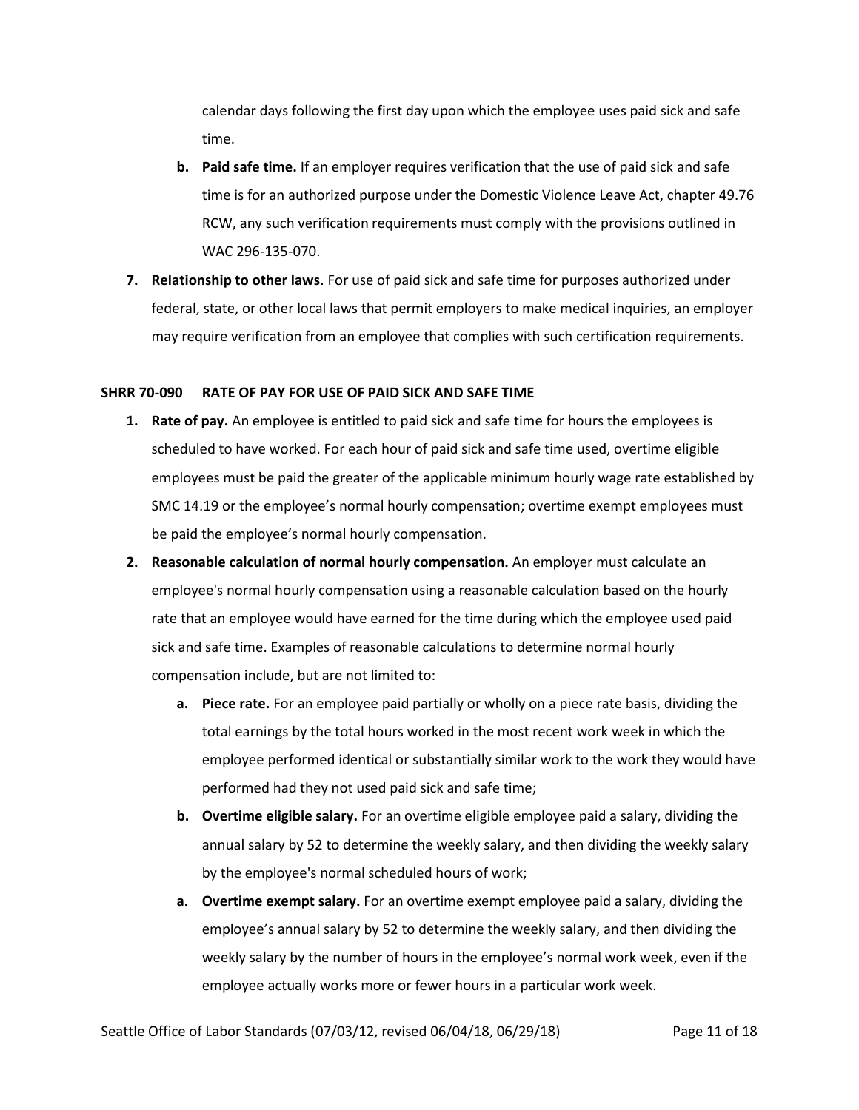calendar days following the first day upon which the employee uses paid sick and safe time.

- **b. Paid safe time.** If an employer requires verification that the use of paid sick and safe time is for an authorized purpose under the Domestic Violence Leave Act, chapter [49.76](http://app.leg.wa.gov/RCW/default.aspx?cite=49.76) RCW, any such verification requirements must comply with the provisions outlined in WA[C 296-135-070.](https://app.leg.wa.gov/wac/default.aspx?cite=296-135-070)
- **7. Relationship to other laws.** For use of paid sick and safe time for purposes authorized under federal, state, or other local laws that permit employers to make medical inquiries, an employer may require verification from an employee that complies with such certification requirements.

#### <span id="page-10-0"></span>**SHRR 70-090 RATE OF PAY FOR USE OF PAID SICK AND SAFE TIME**

- **1. Rate of pay.** An employee is entitled to paid sick and safe time for hours the employees is scheduled to have worked. For each hour of paid sick and safe time used, overtime eligible employees must be paid the greater of the applicable minimum hourly wage rate established by SMC 14.19 or the employee's normal hourly compensation; overtime exempt employees must be paid the employee's normal hourly compensation.
- **2. Reasonable calculation of normal hourly compensation.** An employer must calculate an employee's normal hourly compensation using a reasonable calculation based on the hourly rate that an employee would have earned for the time during which the employee used paid sick and safe time. Examples of reasonable calculations to determine normal hourly compensation include, but are not limited to:
	- **a. Piece rate.** For an employee paid partially or wholly on a piece rate basis, dividing the total earnings by the total hours worked in the most recent work week in which the employee performed identical or substantially similar work to the work they would have performed had they not used paid sick and safe time;
	- **b. Overtime eligible salary.** For an overtime eligible employee paid a salary, dividing the annual salary by 52 to determine the weekly salary, and then dividing the weekly salary by the employee's normal scheduled hours of work;
	- **a. Overtime exempt salary.** For an overtime exempt employee paid a salary, dividing the employee's annual salary by 52 to determine the weekly salary, and then dividing the weekly salary by the number of hours in the employee's normal work week, even if the employee actually works more or fewer hours in a particular work week.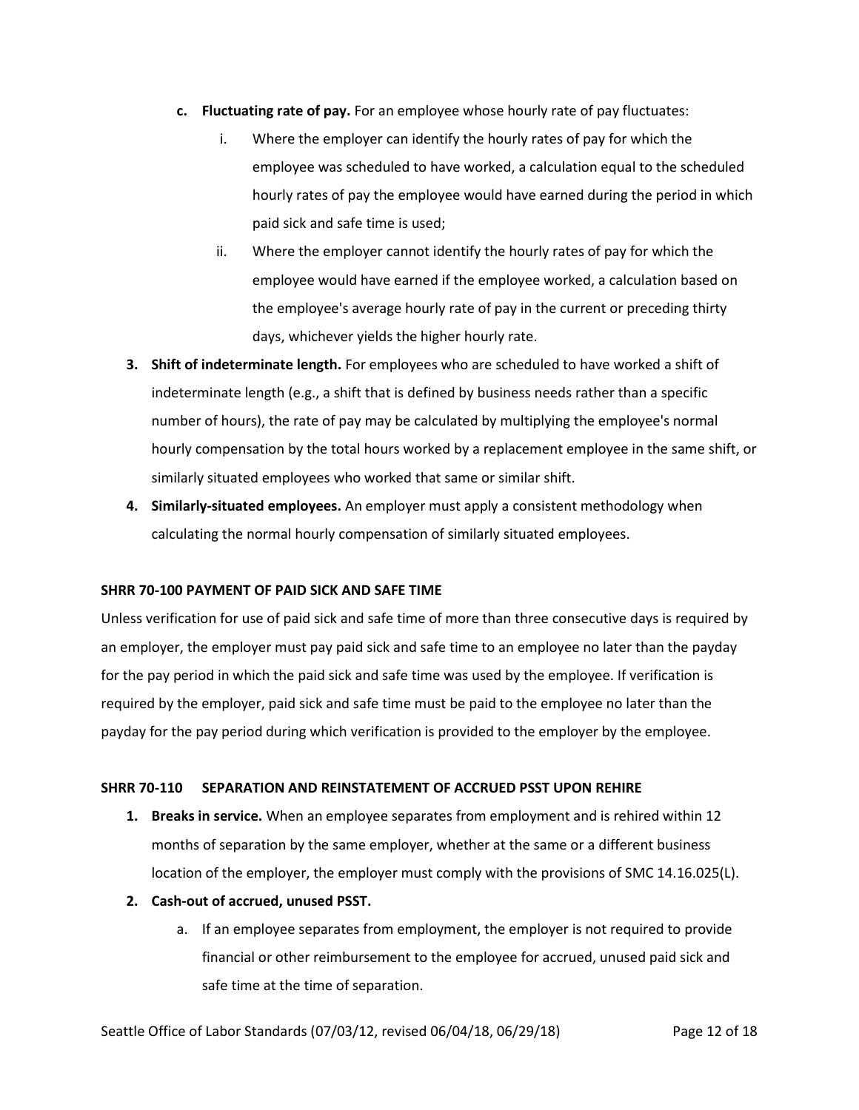- **c. Fluctuating rate of pay.** For an employee whose hourly rate of pay fluctuates:
	- i. Where the employer can identify the hourly rates of pay for which the employee was scheduled to have worked, a calculation equal to the scheduled hourly rates of pay the employee would have earned during the period in which paid sick and safe time is used;
	- ii. Where the employer cannot identify the hourly rates of pay for which the employee would have earned if the employee worked, a calculation based on the employee's average hourly rate of pay in the current or preceding thirty days, whichever yields the higher hourly rate.
- **3. Shift of indeterminate length.** For employees who are scheduled to have worked a shift of indeterminate length (e.g., a shift that is defined by business needs rather than a specific number of hours), the rate of pay may be calculated by multiplying the employee's normal hourly compensation by the total hours worked by a replacement employee in the same shift, or similarly situated employees who worked that same or similar shift.
- **4. Similarly-situated employees.** An employer must apply a consistent methodology when calculating the normal hourly compensation of similarly situated employees.

## <span id="page-11-0"></span>**SHRR 70-100 PAYMENT OF PAID SICK AND SAFE TIME**

Unless verification for use of paid sick and safe time of more than three consecutive days is required by an employer, the employer must pay paid sick and safe time to an employee no later than the payday for the pay period in which the paid sick and safe time was used by the employee. If verification is required by the employer, paid sick and safe time must be paid to the employee no later than the payday for the pay period during which verification is provided to the employer by the employee.

## <span id="page-11-1"></span>**SHRR 70-110 SEPARATION AND REINSTATEMENT OF ACCRUED PSST UPON REHIRE**

- **1. Breaks in service.** When an employee separates from employment and is rehired within 12 months of separation by the same employer, whether at the same or a different business location of the employer, the employer must comply with the provisions of SMC 14.16.025(L).
- **2. Cash-out of accrued, unused PSST.**
	- a. If an employee separates from employment, the employer is not required to provide financial or other reimbursement to the employee for accrued, unused paid sick and safe time at the time of separation.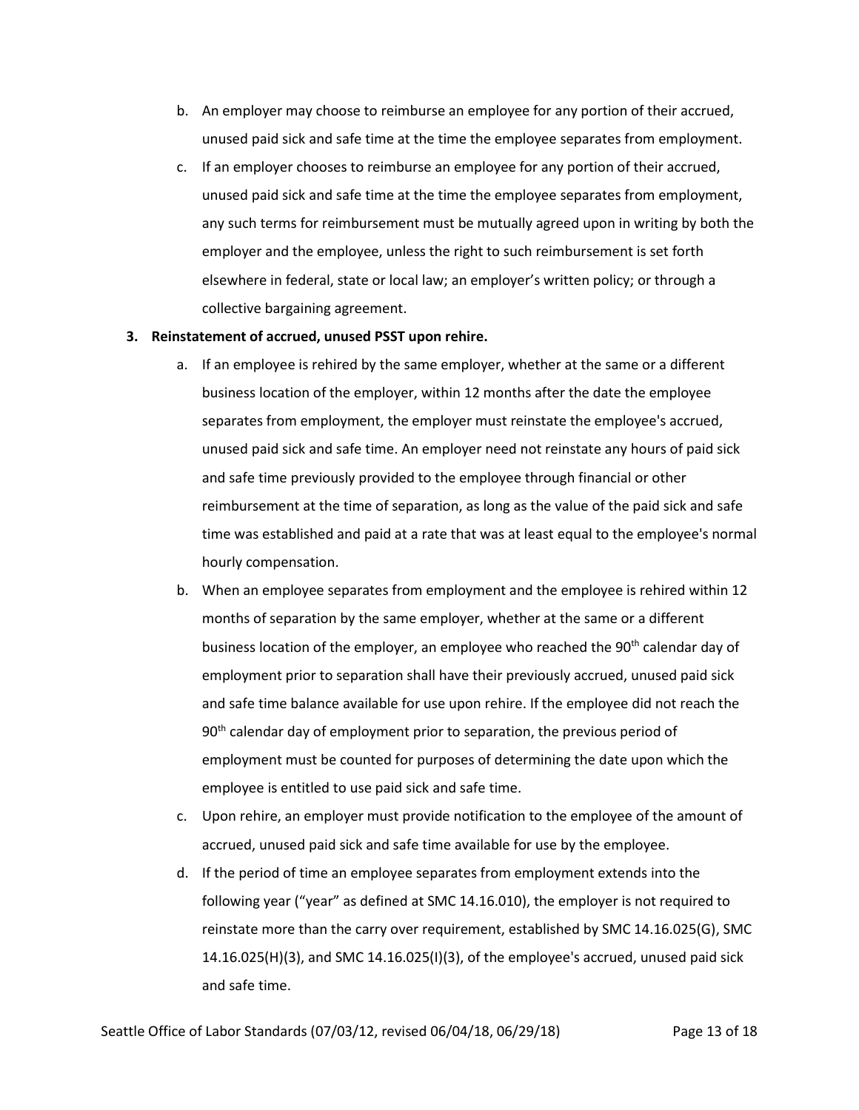- b. An employer may choose to reimburse an employee for any portion of their accrued, unused paid sick and safe time at the time the employee separates from employment.
- c. If an employer chooses to reimburse an employee for any portion of their accrued, unused paid sick and safe time at the time the employee separates from employment, any such terms for reimbursement must be mutually agreed upon in writing by both the employer and the employee, unless the right to such reimbursement is set forth elsewhere in federal, state or local law; an employer's written policy; or through a collective bargaining agreement.

# **3. Reinstatement of accrued, unused PSST upon rehire.**

- a. If an employee is rehired by the same employer, whether at the same or a different business location of the employer, within 12 months after the date the employee separates from employment, the employer must reinstate the employee's accrued, unused paid sick and safe time. An employer need not reinstate any hours of paid sick and safe time previously provided to the employee through financial or other reimbursement at the time of separation, as long as the value of the paid sick and safe time was established and paid at a rate that was at least equal to the employee's normal hourly compensation.
- b. When an employee separates from employment and the employee is rehired within 12 months of separation by the same employer, whether at the same or a different business location of the employer, an employee who reached the 90<sup>th</sup> calendar day of employment prior to separation shall have their previously accrued, unused paid sick and safe time balance available for use upon rehire. If the employee did not reach the  $90<sup>th</sup>$  calendar day of employment prior to separation, the previous period of employment must be counted for purposes of determining the date upon which the employee is entitled to use paid sick and safe time.
- c. Upon rehire, an employer must provide notification to the employee of the amount of accrued, unused paid sick and safe time available for use by the employee.
- d. If the period of time an employee separates from employment extends into the following year ("year" as defined at SMC 14.16.010), the employer is not required to reinstate more than the carry over requirement, established by SMC 14.16.025(G), SMC 14.16.025(H)(3), and SMC 14.16.025(I)(3), of the employee's accrued, unused paid sick and safe time.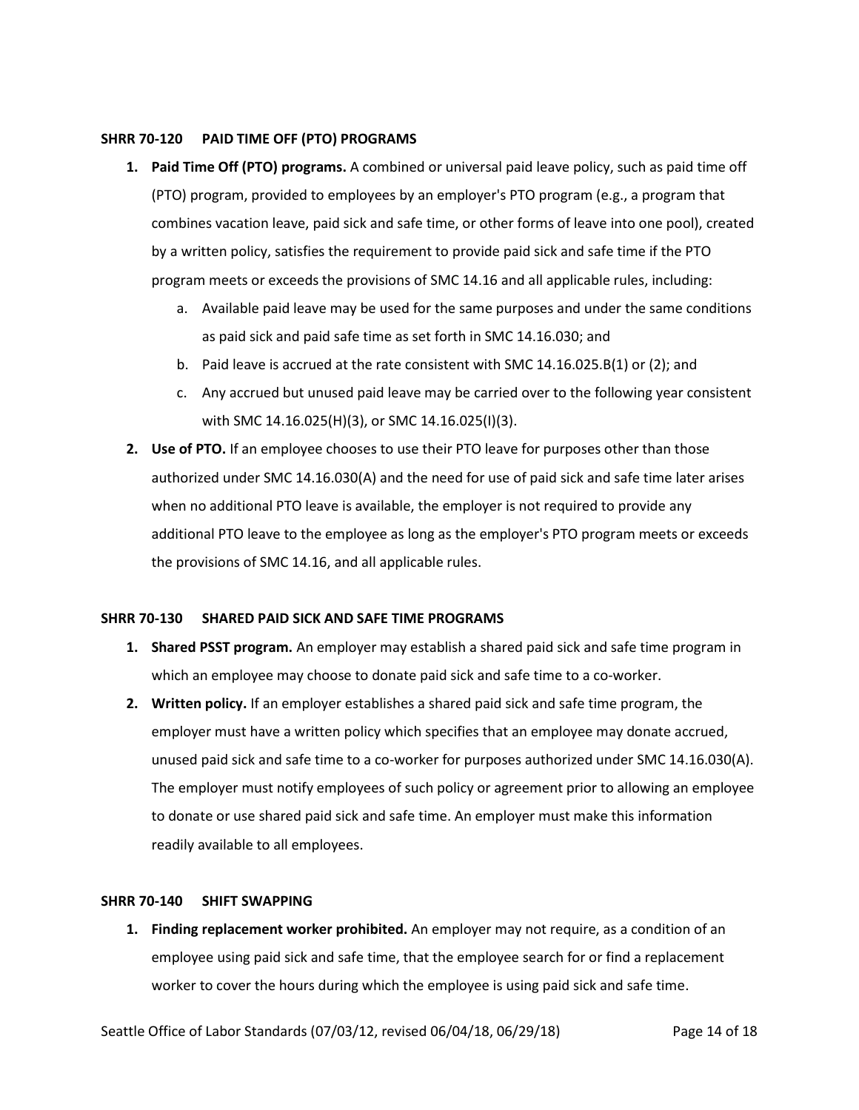#### <span id="page-13-0"></span>**SHRR 70-120 PAID TIME OFF (PTO) PROGRAMS**

- **1. Paid Time Off (PTO) programs.** A combined or universal paid leave policy, such as paid time off (PTO) program, provided to employees by an employer's PTO program (e.g., a program that combines vacation leave, paid sick and safe time, or other forms of leave into one pool), created by a written policy, satisfies the requirement to provide paid sick and safe time if the PTO program meets or exceeds the provisions of SMC 14.16 and all applicable rules, including:
	- a. Available paid leave may be used for the same purposes and under the same conditions as paid sick and paid safe time as set forth in SMC 14.16.030; and
	- b. Paid leave is accrued at the rate consistent with SMC 14.16.025.B(1) or (2); and
	- c. Any accrued but unused paid leave may be carried over to the following year consistent with SMC 14.16.025(H)(3), or SMC 14.16.025(I)(3).
- **2. Use of PTO.** If an employee chooses to use their PTO leave for purposes other than those authorized under SMC 14.16.030(A) and the need for use of paid sick and safe time later arises when no additional PTO leave is available, the employer is not required to provide any additional PTO leave to the employee as long as the employer's PTO program meets or exceeds the provisions of SMC 14.16, and all applicable rules.

## <span id="page-13-1"></span>**SHRR 70-130 SHARED PAID SICK AND SAFE TIME PROGRAMS**

- **1. Shared PSST program.** An employer may establish a shared paid sick and safe time program in which an employee may choose to donate paid sick and safe time to a co-worker.
- **2. Written policy.** If an employer establishes a shared paid sick and safe time program, the employer must have a written policy which specifies that an employee may donate accrued, unused paid sick and safe time to a co-worker for purposes authorized under SMC 14.16.030(A). The employer must notify employees of such policy or agreement prior to allowing an employee to donate or use shared paid sick and safe time. An employer must make this information readily available to all employees.

# <span id="page-13-2"></span>**SHRR 70-140 SHIFT SWAPPING**

**1. Finding replacement worker prohibited.** An employer may not require, as a condition of an employee using paid sick and safe time, that the employee search for or find a replacement worker to cover the hours during which the employee is using paid sick and safe time.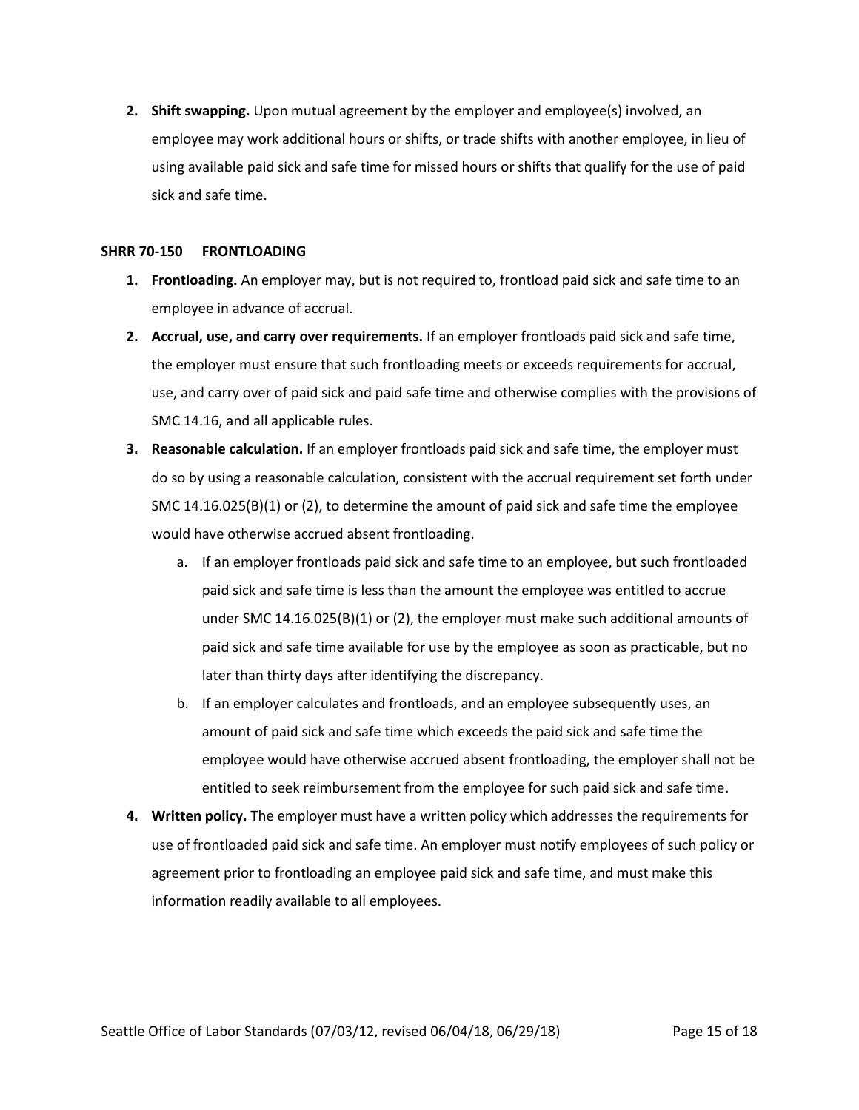**2. Shift swapping.** Upon mutual agreement by the employer and employee(s) involved, an employee may work additional hours or shifts, or trade shifts with another employee, in lieu of using available paid sick and safe time for missed hours or shifts that qualify for the use of paid sick and safe time.

#### <span id="page-14-0"></span>**SHRR 70-150 FRONTLOADING**

- **1. Frontloading.** An employer may, but is not required to, frontload paid sick and safe time to an employee in advance of accrual.
- **2. Accrual, use, and carry over requirements.** If an employer frontloads paid sick and safe time, the employer must ensure that such frontloading meets or exceeds requirements for accrual, use, and carry over of paid sick and paid safe time and otherwise complies with the provisions of SMC 14.16, and all applicable rules.
- **3. Reasonable calculation.** If an employer frontloads paid sick and safe time, the employer must do so by using a reasonable calculation, consistent with the accrual requirement set forth under SMC 14.16.025(B)(1) or (2), to determine the amount of paid sick and safe time the employee would have otherwise accrued absent frontloading.
	- a. If an employer frontloads paid sick and safe time to an employee, but such frontloaded paid sick and safe time is less than the amount the employee was entitled to accrue under SMC 14.16.025(B)(1) or (2), the employer must make such additional amounts of paid sick and safe time available for use by the employee as soon as practicable, but no later than thirty days after identifying the discrepancy.
	- b. If an employer calculates and frontloads, and an employee subsequently uses, an amount of paid sick and safe time which exceeds the paid sick and safe time the employee would have otherwise accrued absent frontloading, the employer shall not be entitled to seek reimbursement from the employee for such paid sick and safe time.
- **4. Written policy.** The employer must have a written policy which addresses the requirements for use of frontloaded paid sick and safe time. An employer must notify employees of such policy or agreement prior to frontloading an employee paid sick and safe time, and must make this information readily available to all employees.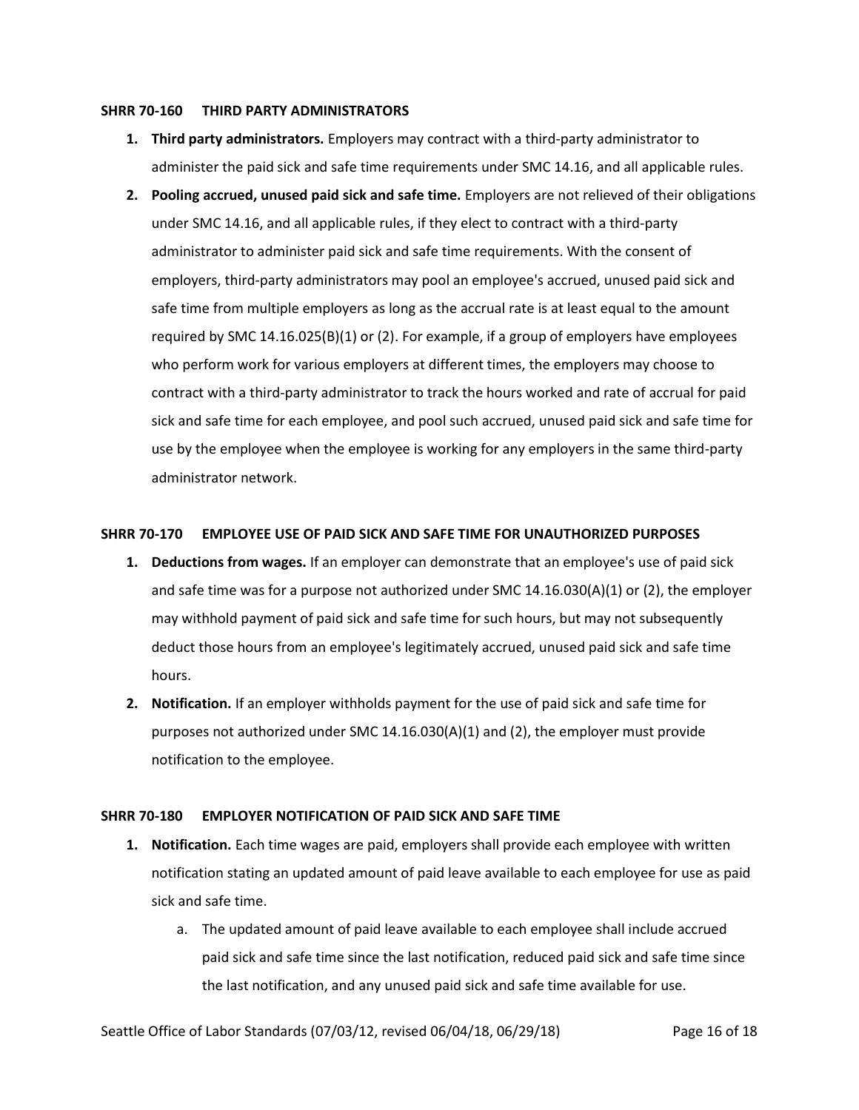#### <span id="page-15-0"></span>**SHRR 70-160 THIRD PARTY ADMINISTRATORS**

- **1. Third party administrators.** Employers may contract with a third-party administrator to administer the paid sick and safe time requirements under SMC 14.16, and all applicable rules.
- **2. Pooling accrued, unused paid sick and safe time.** Employers are not relieved of their obligations under SMC 14.16, and all applicable rules, if they elect to contract with a third-party administrator to administer paid sick and safe time requirements. With the consent of employers, third-party administrators may pool an employee's accrued, unused paid sick and safe time from multiple employers as long as the accrual rate is at least equal to the amount required by SMC 14.16.025(B)(1) or (2). For example, if a group of employers have employees who perform work for various employers at different times, the employers may choose to contract with a third-party administrator to track the hours worked and rate of accrual for paid sick and safe time for each employee, and pool such accrued, unused paid sick and safe time for use by the employee when the employee is working for any employers in the same third-party administrator network.

## <span id="page-15-1"></span>**SHRR 70-170 EMPLOYEE USE OF PAID SICK AND SAFE TIME FOR UNAUTHORIZED PURPOSES**

- **1. Deductions from wages.** If an employer can demonstrate that an employee's use of paid sick and safe time was for a purpose not authorized under SMC 14.16.030(A)(1) or (2), the employer may withhold payment of paid sick and safe time for such hours, but may not subsequently deduct those hours from an employee's legitimately accrued, unused paid sick and safe time hours.
- **2. Notification.** If an employer withholds payment for the use of paid sick and safe time for purposes not authorized under SMC 14.16.030(A)(1) and (2), the employer must provide notification to the employee.

## <span id="page-15-2"></span>**SHRR 70-180 EMPLOYER NOTIFICATION OF PAID SICK AND SAFE TIME**

- **1. Notification.** Each time wages are paid, employers shall provide each employee with written notification stating an updated amount of paid leave available to each employee for use as paid sick and safe time.
	- a. The updated amount of paid leave available to each employee shall include accrued paid sick and safe time since the last notification, reduced paid sick and safe time since the last notification, and any unused paid sick and safe time available for use.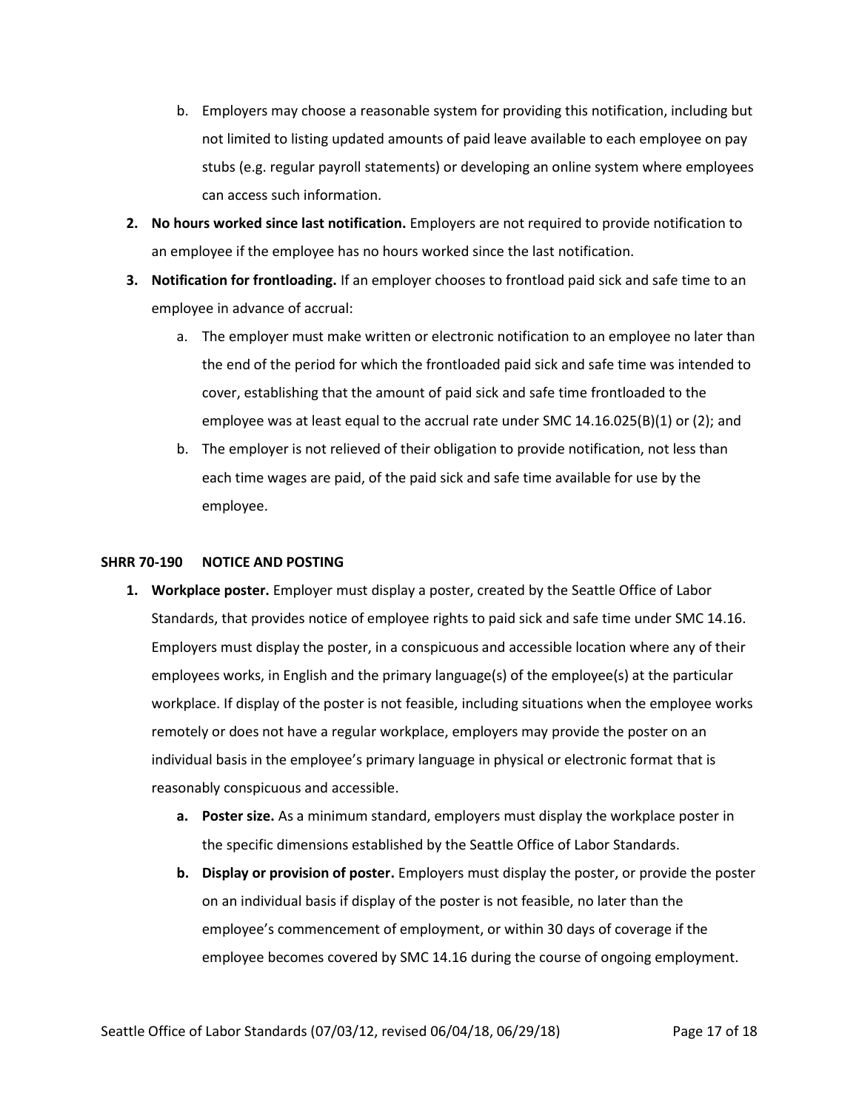- b. Employers may choose a reasonable system for providing this notification, including but not limited to listing updated amounts of paid leave available to each employee on pay stubs (e.g. regular payroll statements) or developing an online system where employees can access such information.
- **2. No hours worked since last notification.** Employers are not required to provide notification to an employee if the employee has no hours worked since the last notification.
- **3. Notification for frontloading.** If an employer chooses to frontload paid sick and safe time to an employee in advance of accrual:
	- a. The employer must make written or electronic notification to an employee no later than the end of the period for which the frontloaded paid sick and safe time was intended to cover, establishing that the amount of paid sick and safe time frontloaded to the employee was at least equal to the accrual rate under SMC 14.16.025(B)(1) or (2); and
	- b. The employer is not relieved of their obligation to provide notification, not less than each time wages are paid, of the paid sick and safe time available for use by the employee.

## <span id="page-16-0"></span>**SHRR 70-190 NOTICE AND POSTING**

- **1. Workplace poster.** Employer must display a poster, created by the Seattle Office of Labor Standards, that provides notice of employee rights to paid sick and safe time under SMC 14.16. Employers must display the poster, in a conspicuous and accessible location where any of their employees works, in English and the primary language(s) of the employee(s) at the particular workplace. If display of the poster is not feasible, including situations when the employee works remotely or does not have a regular workplace, employers may provide the poster on an individual basis in the employee's primary language in physical or electronic format that is reasonably conspicuous and accessible.
	- **a. Poster size.** As a minimum standard, employers must display the workplace poster in the specific dimensions established by the Seattle Office of Labor Standards.
	- **b. Display or provision of poster.** Employers must display the poster, or provide the poster on an individual basis if display of the poster is not feasible, no later than the employee's commencement of employment, or within 30 days of coverage if the employee becomes covered by SMC 14.16 during the course of ongoing employment.